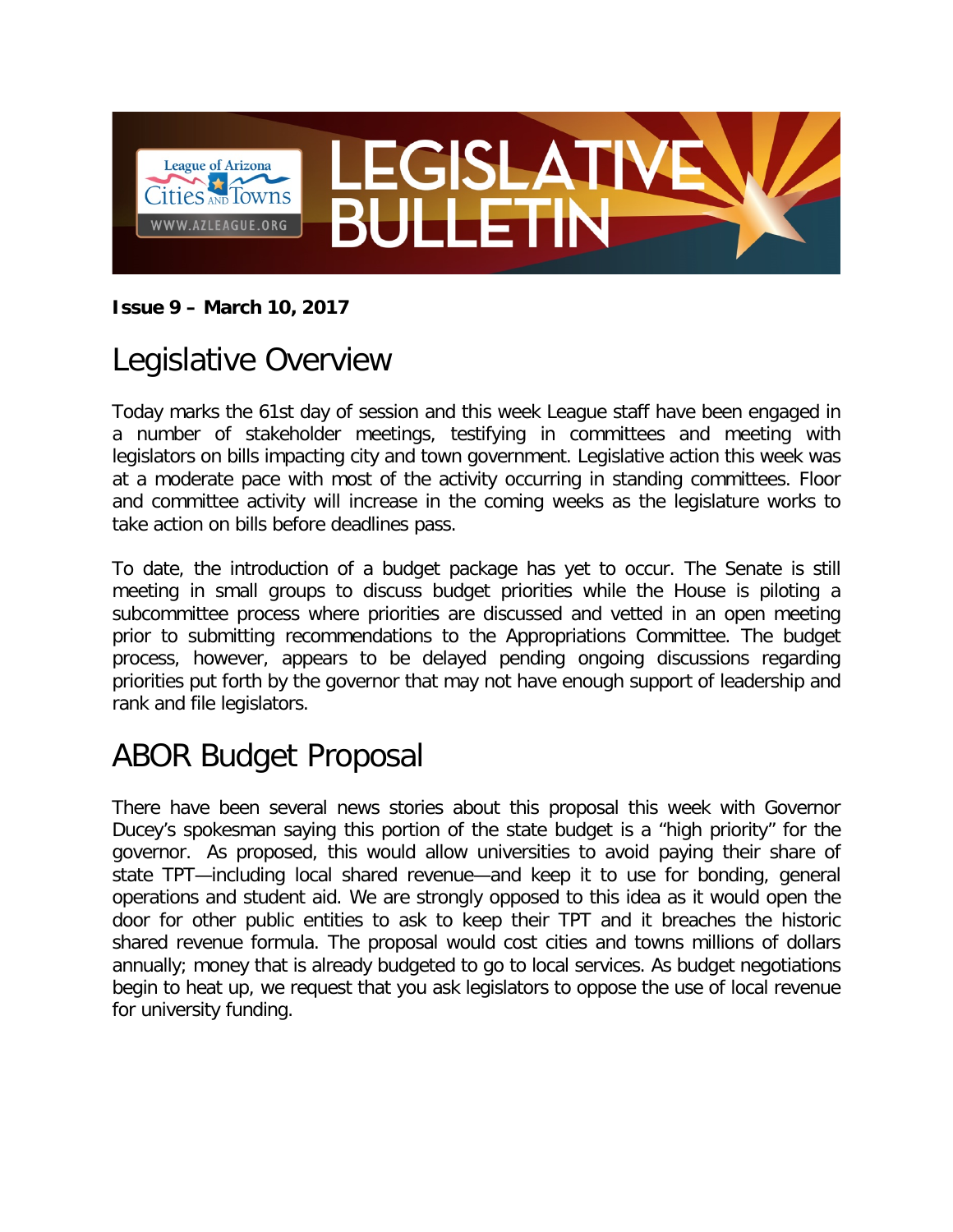

#### **Issue 9 – March 10, 2017**

#### Legislative Overview

Today marks the 61st day of session and this week League staff have been engaged in a number of stakeholder meetings, testifying in committees and meeting with legislators on bills impacting city and town government. Legislative action this week was at a moderate pace with most of the activity occurring in standing committees. Floor and committee activity will increase in the coming weeks as the legislature works to take action on bills before deadlines pass.

To date, the introduction of a budget package has yet to occur. The Senate is still meeting in small groups to discuss budget priorities while the House is piloting a subcommittee process where priorities are discussed and vetted in an open meeting prior to submitting recommendations to the Appropriations Committee. The budget process, however, appears to be delayed pending ongoing discussions regarding priorities put forth by the governor that may not have enough support of leadership and rank and file legislators.

# ABOR Budget Proposal

There have been several news stories about this proposal this week with Governor Ducey's spokesman saying this portion of the state budget is a "high priority" for the governor. As proposed, this would allow universities to avoid paying their share of state TPT—including local shared revenue—and keep it to use for bonding, general operations and student aid. We are strongly opposed to this idea as it would open the door for other public entities to ask to keep their TPT and it breaches the historic shared revenue formula. The proposal would cost cities and towns millions of dollars annually; money that is already budgeted to go to local services. As budget negotiations begin to heat up, we request that you ask legislators to oppose the use of local revenue for university funding.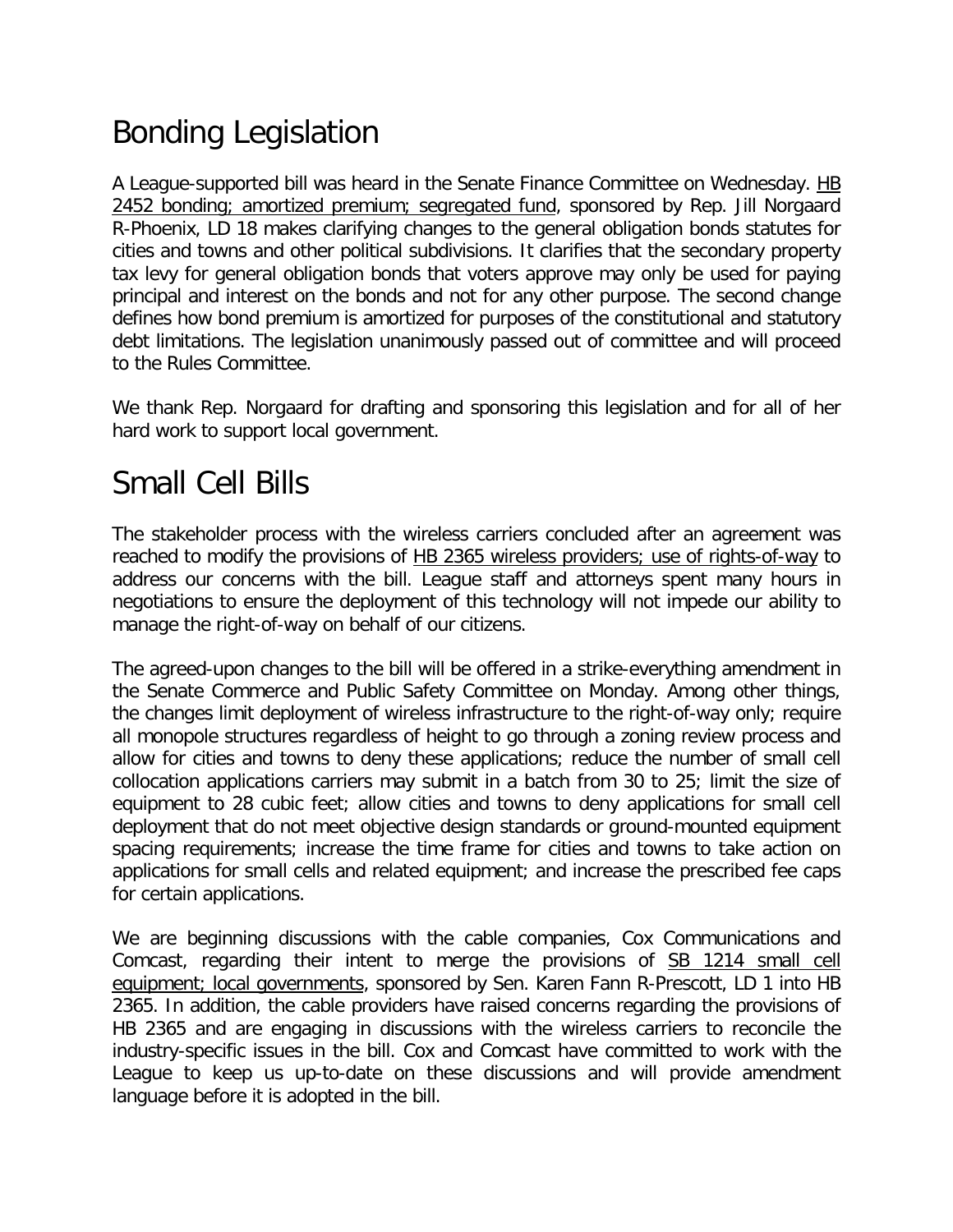# Bonding Legislation

A League-supported bill was heard in the Senate Finance Committee on Wednesday. HB 2452 bonding; amortized premium; segregated fund, sponsored by Rep. Jill Norgaard R-Phoenix, LD 18 makes clarifying changes to the general obligation bonds statutes for cities and towns and other political subdivisions. It clarifies that the secondary property tax levy for general obligation bonds that voters approve may only be used for paying principal and interest on the bonds and not for any other purpose. The second change defines how bond premium is amortized for purposes of the constitutional and statutory debt limitations. The legislation unanimously passed out of committee and will proceed to the Rules Committee.

We thank Rep. Norgaard for drafting and sponsoring this legislation and for all of her hard work to support local government.

## Small Cell Bills

The stakeholder process with the wireless carriers concluded after an agreement was reached to modify the provisions of HB 2365 wireless providers; use of rights-of-way to address our concerns with the bill. League staff and attorneys spent many hours in negotiations to ensure the deployment of this technology will not impede our ability to manage the right-of-way on behalf of our citizens.

The agreed-upon changes to the bill will be offered in a strike-everything amendment in the Senate Commerce and Public Safety Committee on Monday. Among other things, the changes limit deployment of wireless infrastructure to the right-of-way only; require all monopole structures regardless of height to go through a zoning review process and allow for cities and towns to deny these applications; reduce the number of small cell collocation applications carriers may submit in a batch from 30 to 25; limit the size of equipment to 28 cubic feet; allow cities and towns to deny applications for small cell deployment that do not meet objective design standards or ground-mounted equipment spacing requirements; increase the time frame for cities and towns to take action on applications for small cells and related equipment; and increase the prescribed fee caps for certain applications.

We are beginning discussions with the cable companies, Cox Communications and Comcast, regarding their intent to merge the provisions of SB 1214 small cell equipment; local governments, sponsored by Sen. Karen Fann R-Prescott, LD 1 into HB 2365. In addition, the cable providers have raised concerns regarding the provisions of HB 2365 and are engaging in discussions with the wireless carriers to reconcile the industry-specific issues in the bill. Cox and Comcast have committed to work with the League to keep us up-to-date on these discussions and will provide amendment language before it is adopted in the bill.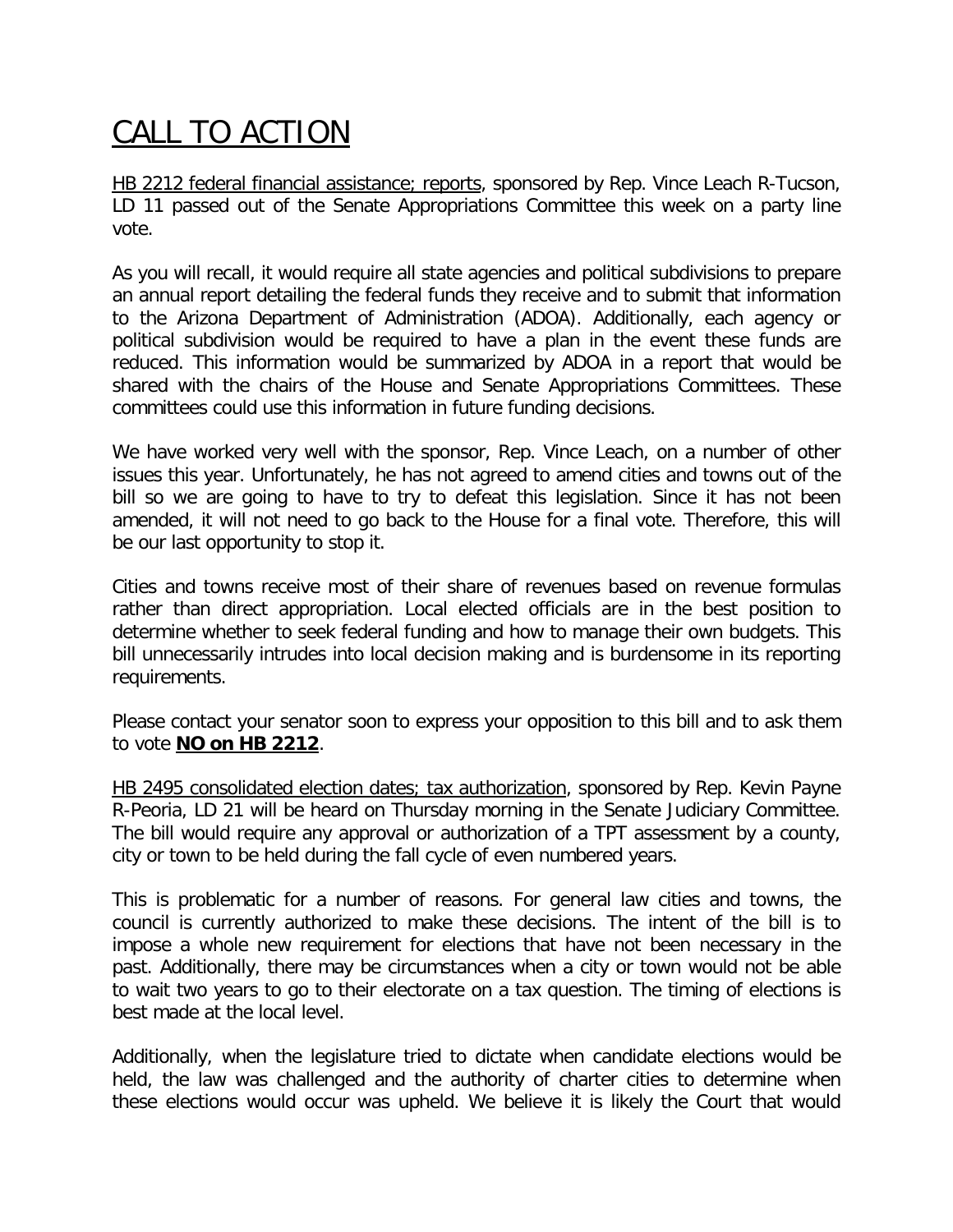# CALL TO ACTION

HB 2212 federal financial assistance; reports, sponsored by Rep. Vince Leach R-Tucson, LD 11 passed out of the Senate Appropriations Committee this week on a party line vote.

As you will recall, it would require all state agencies and political subdivisions to prepare an annual report detailing the federal funds they receive and to submit that information to the Arizona Department of Administration (ADOA). Additionally, each agency or political subdivision would be required to have a plan in the event these funds are reduced. This information would be summarized by ADOA in a report that would be shared with the chairs of the House and Senate Appropriations Committees. These committees could use this information in future funding decisions.

We have worked very well with the sponsor, Rep. Vince Leach, on a number of other issues this year. Unfortunately, he has not agreed to amend cities and towns out of the bill so we are going to have to try to defeat this legislation. Since it has not been amended, it will not need to go back to the House for a final vote. Therefore, this will be our last opportunity to stop it.

Cities and towns receive most of their share of revenues based on revenue formulas rather than direct appropriation. Local elected officials are in the best position to determine whether to seek federal funding and how to manage their own budgets. This bill unnecessarily intrudes into local decision making and is burdensome in its reporting requirements.

Please contact your senator soon to express your opposition to this bill and to ask them to vote **NO on HB 2212**.

HB 2495 consolidated election dates; tax authorization, sponsored by Rep. Kevin Payne R-Peoria, LD 21 will be heard on Thursday morning in the Senate Judiciary Committee. The bill would require any approval or authorization of a TPT assessment by a county, city or town to be held during the fall cycle of even numbered years.

This is problematic for a number of reasons. For general law cities and towns, the council is currently authorized to make these decisions. The intent of the bill is to impose a whole new requirement for elections that have not been necessary in the past. Additionally, there may be circumstances when a city or town would not be able to wait two years to go to their electorate on a tax question. The timing of elections is best made at the local level.

Additionally, when the legislature tried to dictate when candidate elections would be held, the law was challenged and the authority of charter cities to determine when these elections would occur was upheld. We believe it is likely the Court that would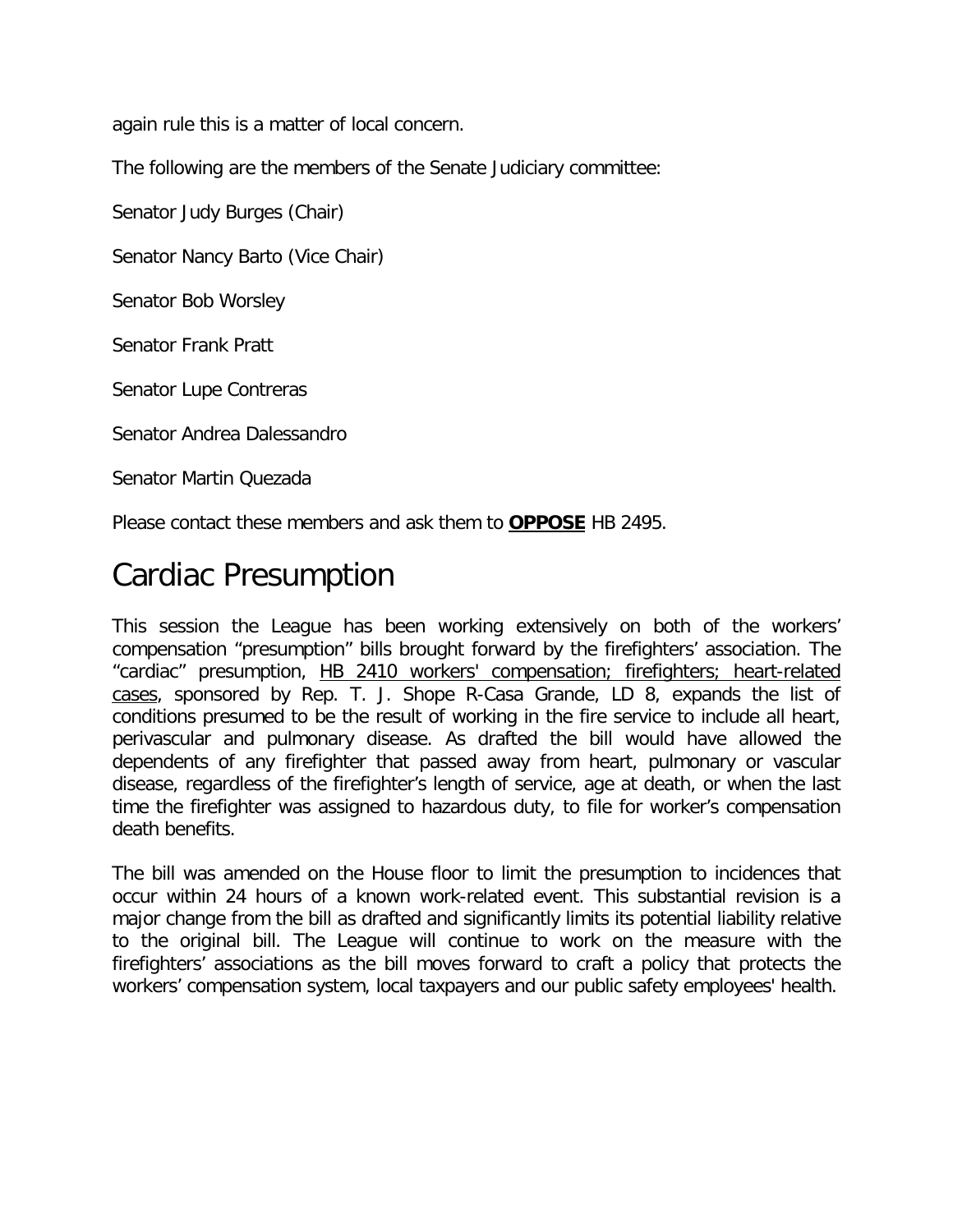again rule this is a matter of local concern.

The following are the members of the Senate Judiciary committee:

Senator Judy Burges (Chair)

Senator Nancy Barto (Vice Chair)

Senator Bob Worsley

Senator Frank Pratt

Senator Lupe Contreras

Senator Andrea Dalessandro

Senator Martin Quezada

Please contact these members and ask them to **OPPOSE** HB 2495.

#### Cardiac Presumption

This session the League has been working extensively on both of the workers' compensation "presumption" bills brought forward by the firefighters' association. The "cardiac" presumption, HB 2410 workers' compensation; firefighters; heart-related cases, sponsored by Rep. T. J. Shope R-Casa Grande, LD 8, expands the list of conditions presumed to be the result of working in the fire service to include all heart, perivascular and pulmonary disease. As drafted the bill would have allowed the dependents of any firefighter that passed away from heart, pulmonary or vascular disease, regardless of the firefighter's length of service, age at death, or when the last time the firefighter was assigned to hazardous duty, to file for worker's compensation death benefits.

The bill was amended on the House floor to limit the presumption to incidences that occur within 24 hours of a known work-related event. This substantial revision is a major change from the bill as drafted and significantly limits its potential liability relative to the original bill. The League will continue to work on the measure with the firefighters' associations as the bill moves forward to craft a policy that protects the workers' compensation system, local taxpayers and our public safety employees' health.